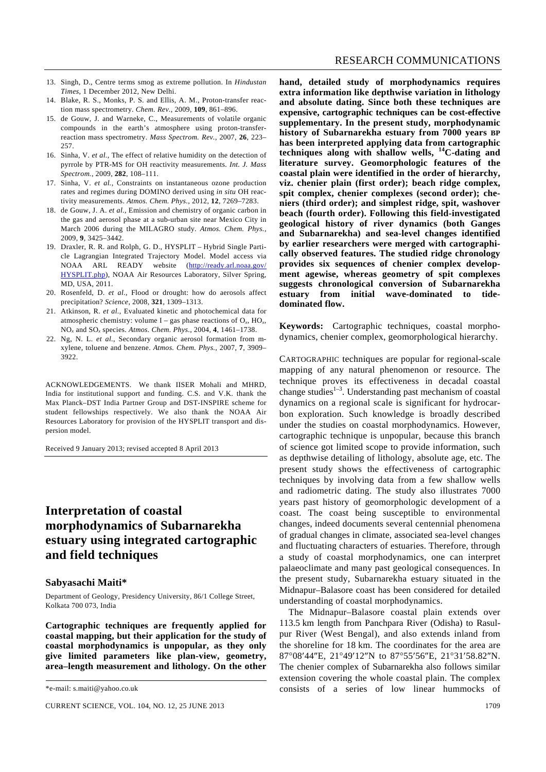- 13. Singh, D., Centre terms smog as extreme pollution. In *Hindustan Times*, 1 December 2012, New Delhi.
- 14. Blake, R. S., Monks, P. S. and Ellis, A. M., Proton-transfer reaction mass spectrometry. *Chem. Rev.*, 2009, **109**, 861–896.
- 15. de Gouw, J. and Warneke, C., Measurements of volatile organic compounds in the earth's atmosphere using proton-transferreaction mass spectrometry. *Mass Spectrom. Rev.*, 2007, **26**, 223– 257.
- 16. Sinha, V. *et al.*, The effect of relative humidity on the detection of pyrrole by PTR-MS for OH reactivity measurements. *Int. J. Mass Spectrom.*, 2009, **282**, 108–111.
- 17. Sinha, V. *et al.*, Constraints on instantaneous ozone production rates and regimes during DOMINO derived using *in situ* OH reactivity measurements. *Atmos. Chem. Phys.*, 2012, **12**, 7269–7283.
- 18. de Gouw, J. A. *et al.*, Emission and chemistry of organic carbon in the gas and aerosol phase at a sub-urban site near Mexico City in March 2006 during the MILAGRO study. *Atmos. Chem. Phys.*, 2009, **9**, 3425–3442.
- 19. Draxler, R. R. and Rolph, G. D., HYSPLIT Hybrid Single Particle Lagrangian Integrated Trajectory Model. Model access via NOAA ARL READY website (http://ready.arl.noaa.gov/ HYSPLIT.php), NOAA Air Resources Laboratory, Silver Spring, MD, USA, 2011.
- 20. Rosenfeld, D. *et al.*, Flood or drought: how do aerosols affect precipitation? *Science*, 2008, **321**, 1309–1313.
- 21. Atkinson, R. *et al.*, Evaluated kinetic and photochemical data for atmospheric chemistry: volume  $I - gas$  phase reactions of  $O_x$ ,  $HO_x$ , NO*x* and SO*x* species. *Atmos. Chem. Phys.*, 2004, **4**, 1461–1738.
- 22. Ng, N. L. *et al.*, Secondary organic aerosol formation from mxylene, toluene and benzene. *Atmos. Chem. Phys.*, 2007, **7**, 3909– 3922.

ACKNOWLEDGEMENTS. We thank IISER Mohali and MHRD, India for institutional support and funding. C.S. and V.K. thank the Max Planck–DST India Partner Group and DST-INSPIRE scheme for student fellowships respectively. We also thank the NOAA Air Resources Laboratory for provision of the HYSPLIT transport and dispersion model.

Received 9 January 2013; revised accepted 8 April 2013

# **Interpretation of coastal morphodynamics of Subarnarekha estuary using integrated cartographic and field techniques**

#### **Sabyasachi Maiti\***

Department of Geology, Presidency University, 86/1 College Street, Kolkata 700 073, India

**Cartographic techniques are frequently applied for coastal mapping, but their application for the study of coastal morphodynamics is unpopular, as they only give limited parameters like plan-view, geometry, area–length measurement and lithology. On the other** 

**hand, detailed study of morphodynamics requires extra information like depthwise variation in lithology and absolute dating. Since both these techniques are expensive, cartographic techniques can be cost-effective supplementary. In the present study, morphodynamic history of Subarnarekha estuary from 7000 years BP has been interpreted applying data from cartographic techniques along with shallow wells, 14C-dating and literature survey. Geomorphologic features of the coastal plain were identified in the order of hierarchy, viz. chenier plain (first order); beach ridge complex, spit complex, chenier complexes (second order); cheniers (third order); and simplest ridge, spit, washover beach (fourth order). Following this field-investigated geological history of river dynamics (both Ganges and Subarnarekha) and sea-level changes identified by earlier researchers were merged with cartographically observed features. The studied ridge chronology provides six sequences of chenier complex development agewise, whereas geometry of spit complexes suggests chronological conversion of Subarnarekha estuary from initial wave-dominated to tidedominated flow.** 

**Keywords:** Cartographic techniques, coastal morphodynamics, chenier complex, geomorphological hierarchy.

CARTOGRAPHIC techniques are popular for regional-scale mapping of any natural phenomenon or resource. The technique proves its effectiveness in decadal coastal change studies $1-3$ . Understanding past mechanism of coastal dynamics on a regional scale is significant for hydrocarbon exploration. Such knowledge is broadly described under the studies on coastal morphodynamics. However, cartographic technique is unpopular, because this branch of science got limited scope to provide information, such as depthwise detailing of lithology, absolute age, etc. The present study shows the effectiveness of cartographic techniques by involving data from a few shallow wells and radiometric dating. The study also illustrates 7000 years past history of geomorphologic development of a coast. The coast being susceptible to environmental changes, indeed documents several centennial phenomena of gradual changes in climate, associated sea-level changes and fluctuating characters of estuaries. Therefore, through a study of coastal morphodynamics, one can interpret palaeoclimate and many past geological consequences. In the present study, Subarnarekha estuary situated in the Midnapur–Balasore coast has been considered for detailed understanding of coastal morphodynamics.

 The Midnapur–Balasore coastal plain extends over 113.5 km length from Panchpara River (Odisha) to Rasulpur River (West Bengal), and also extends inland from the shoreline for 18 km. The coordinates for the area are 87°08′44″E, 21°49′12″N to 87°55′56″E, 21°31′58.82″N. The chenier complex of Subarnarekha also follows similar extension covering the whole coastal plain. The complex consists of a series of low linear hummocks of

<sup>\*</sup>e-mail: s.maiti@yahoo.co.uk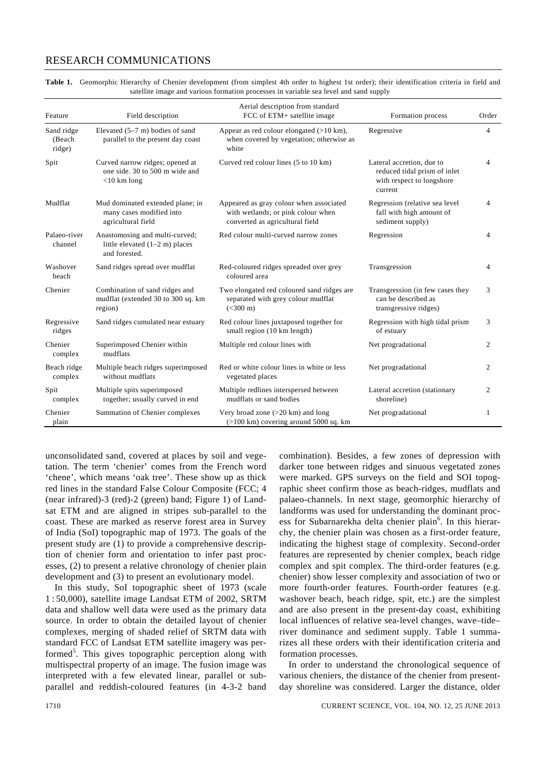### RESEARCH COMMUNICATIONS

|                                                                                       | Table 1. Geomorphic Hierarchy of Chenier development (from simplest 4th order to highest 1st order); their identification criteria in field and |  |  |  |  |
|---------------------------------------------------------------------------------------|-------------------------------------------------------------------------------------------------------------------------------------------------|--|--|--|--|
| satellite image and various formation processes in variable sea level and sand supply |                                                                                                                                                 |  |  |  |  |

| Feature                        | Field description                                                                   | Aerial description from standard<br>FCC of ETM+ satellite image                                                  | Formation process                                                                                 | Order          |
|--------------------------------|-------------------------------------------------------------------------------------|------------------------------------------------------------------------------------------------------------------|---------------------------------------------------------------------------------------------------|----------------|
| Sand ridge<br>(Beach<br>ridge) | Elevated $(5-7 \text{ m})$ bodies of sand<br>parallel to the present day coast      | Appear as red colour elongated (>10 km),<br>when covered by vegetation; otherwise as<br>white                    | Regressive                                                                                        | $\overline{4}$ |
| Spit                           | Curved narrow ridges; opened at<br>one side, 30 to 500 m wide and<br>$<$ 10 km long | Curved red colour lines (5 to 10 km)                                                                             | Lateral accretion, due to<br>reduced tidal prism of inlet<br>with respect to longshore<br>current | 4              |
| Mudflat                        | Mud dominated extended plane; in<br>many cases modified into<br>agricultural field  | Appeared as gray colour when associated<br>with wetlands; or pink colour when<br>converted as agricultural field | Regression (relative sea level<br>fall with high amount of<br>sediment supply)                    | 4              |
| Palaeo-river<br>channel        | Anastomosing and multi-curved;<br>little elevated $(1-2 m)$ places<br>and forested. | Red colour multi-curved narrow zones                                                                             | Regression                                                                                        | 4              |
| Washover<br>beach              | Sand ridges spread over mudflat                                                     | Red-coloured ridges spreaded over grey<br>coloured area                                                          | Transgression                                                                                     | 4              |
| Chenier                        | Combination of sand ridges and<br>mudflat (extended 30 to 300 sq. km<br>region)     | Two elongated red coloured sand ridges are<br>separated with grey colour mudflat<br>$(<300 \text{ m})$           | Transgression (in few cases they<br>can be described as<br>transgressive ridges)                  | 3              |
| Regressive<br>ridges           | Sand ridges cumulated near estuary                                                  | Red colour lines juxtaposed together for<br>small region (10 km length)                                          | Regression with high tidal prism<br>of estuary                                                    | 3              |
| Chenier<br>complex             | Superimposed Chenier within<br>mudflats                                             | Multiple red colour lines with                                                                                   | Net progradational                                                                                | 2              |
| Beach ridge<br>complex         | Multiple beach ridges superimposed<br>without mudflats                              | Red or white colour lines in white or less<br>vegetated places                                                   | Net progradational                                                                                | 2              |
| Spit<br>complex                | Multiple spits superimposed<br>together; usually curved in end                      | Multiple redlines interspersed between<br>mudflats or sand bodies                                                | Lateral accretion (stationary<br>shoreline)                                                       | 2              |
| Chenier<br>plain               | Summation of Chenier complexes                                                      | Very broad zone $(>20 \text{ km})$ and long<br>$(>100 \text{ km})$ covering around 5000 sq. km                   | Net progradational                                                                                | 1              |

unconsolidated sand, covered at places by soil and vegetation. The term 'chenier' comes from the French word 'chene', which means 'oak tree'. These show up as thick red lines in the standard False Colour Composite (FCC; 4 (near infrared)-3 (red)-2 (green) band; Figure 1) of Landsat ETM and are aligned in stripes sub-parallel to the coast. These are marked as reserve forest area in Survey of India (SoI) topographic map of 1973. The goals of the present study are (1) to provide a comprehensive description of chenier form and orientation to infer past processes, (2) to present a relative chronology of chenier plain development and (3) to present an evolutionary model.

 In this study, SoI topographic sheet of 1973 (scale 1 : 50,000), satellite image Landsat ETM of 2002, SRTM data and shallow well data were used as the primary data source. In order to obtain the detailed layout of chenier complexes, merging of shaded relief of SRTM data with standard FCC of Landsat ETM satellite imagery was performed<sup>5</sup>. This gives topographic perception along with multispectral property of an image. The fusion image was interpreted with a few elevated linear, parallel or subparallel and reddish-coloured features (in 4-3-2 band

combination). Besides, a few zones of depression with darker tone between ridges and sinuous vegetated zones were marked. GPS surveys on the field and SOI topographic sheet confirm those as beach-ridges, mudflats and palaeo-channels. In next stage, geomorphic hierarchy of landforms was used for understanding the dominant process for Subarnarekha delta chenier plain<sup>6</sup>. In this hierarchy, the chenier plain was chosen as a first-order feature, indicating the highest stage of complexity. Second-order features are represented by chenier complex, beach ridge complex and spit complex. The third-order features (e.g. chenier) show lesser complexity and association of two or more fourth-order features. Fourth-order features (e.g. washover beach, beach ridge, spit, etc.) are the simplest and are also present in the present-day coast, exhibiting local influences of relative sea-level changes, wave–tide– river dominance and sediment supply. Table 1 summarizes all these orders with their identification criteria and formation processes.

 In order to understand the chronological sequence of various cheniers, the distance of the chenier from presentday shoreline was considered. Larger the distance, older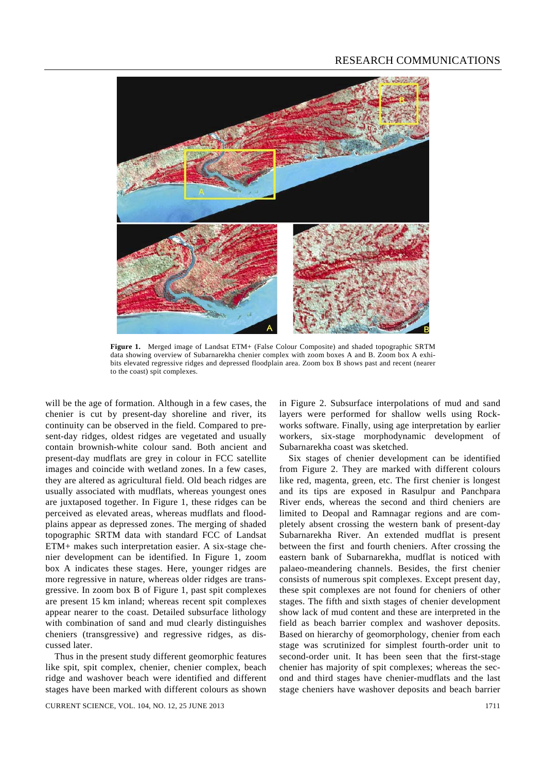

**Figure 1.** Merged image of Landsat ETM+ (False Colour Composite) and shaded topographic SRTM data showing overview of Subarnarekha chenier complex with zoom boxes A and B. Zoom box A exhibits elevated regressive ridges and depressed floodplain area. Zoom box B shows past and recent (nearer to the coast) spit complexes.

will be the age of formation. Although in a few cases, the chenier is cut by present-day shoreline and river, its continuity can be observed in the field. Compared to present-day ridges, oldest ridges are vegetated and usually contain brownish-white colour sand. Both ancient and present-day mudflats are grey in colour in FCC satellite images and coincide with wetland zones. In a few cases, they are altered as agricultural field. Old beach ridges are usually associated with mudflats, whereas youngest ones are juxtaposed together. In Figure 1, these ridges can be perceived as elevated areas, whereas mudflats and floodplains appear as depressed zones. The merging of shaded topographic SRTM data with standard FCC of Landsat ETM+ makes such interpretation easier. A six-stage chenier development can be identified. In Figure 1, zoom box A indicates these stages. Here, younger ridges are more regressive in nature, whereas older ridges are transgressive. In zoom box B of Figure 1, past spit complexes are present 15 km inland; whereas recent spit complexes appear nearer to the coast. Detailed subsurface lithology with combination of sand and mud clearly distinguishes cheniers (transgressive) and regressive ridges, as discussed later.

 Thus in the present study different geomorphic features like spit, spit complex, chenier, chenier complex, beach ridge and washover beach were identified and different stages have been marked with different colours as shown

CURRENT SCIENCE, VOL. 104, NO. 12, 25 JUNE 2013 1711

in Figure 2. Subsurface interpolations of mud and sand layers were performed for shallow wells using Rockworks software. Finally, using age interpretation by earlier workers, six-stage morphodynamic development of Subarnarekha coast was sketched.

 Six stages of chenier development can be identified from Figure 2. They are marked with different colours like red, magenta, green, etc. The first chenier is longest and its tips are exposed in Rasulpur and Panchpara River ends, whereas the second and third cheniers are limited to Deopal and Ramnagar regions and are completely absent crossing the western bank of present-day Subarnarekha River. An extended mudflat is present between the first and fourth cheniers. After crossing the eastern bank of Subarnarekha, mudflat is noticed with palaeo-meandering channels. Besides, the first chenier consists of numerous spit complexes. Except present day, these spit complexes are not found for cheniers of other stages. The fifth and sixth stages of chenier development show lack of mud content and these are interpreted in the field as beach barrier complex and washover deposits. Based on hierarchy of geomorphology, chenier from each stage was scrutinized for simplest fourth-order unit to second-order unit. It has been seen that the first-stage chenier has majority of spit complexes; whereas the second and third stages have chenier-mudflats and the last stage cheniers have washover deposits and beach barrier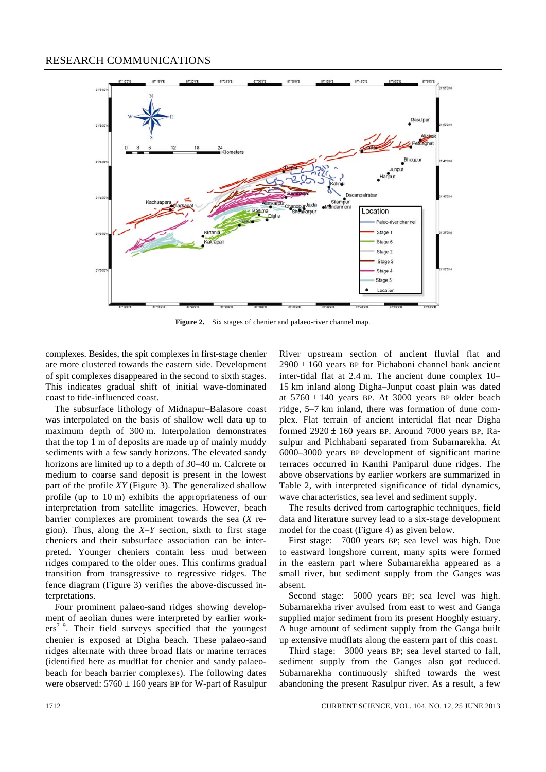

**Figure 2.** Six stages of chenier and palaeo-river channel map.

complexes. Besides, the spit complexes in first-stage chenier are more clustered towards the eastern side. Development of spit complexes disappeared in the second to sixth stages. This indicates gradual shift of initial wave-dominated coast to tide-influenced coast.

 The subsurface lithology of Midnapur–Balasore coast was interpolated on the basis of shallow well data up to maximum depth of 300 m. Interpolation demonstrates that the top 1 m of deposits are made up of mainly muddy sediments with a few sandy horizons. The elevated sandy horizons are limited up to a depth of 30–40 m. Calcrete or medium to coarse sand deposit is present in the lowest part of the profile *XY* (Figure 3). The generalized shallow profile (up to 10 m) exhibits the appropriateness of our interpretation from satellite imageries. However, beach barrier complexes are prominent towards the sea (*X* region). Thus, along the *X*–*Y* section, sixth to first stage cheniers and their subsurface association can be interpreted. Younger cheniers contain less mud between ridges compared to the older ones. This confirms gradual transition from transgressive to regressive ridges. The fence diagram (Figure 3) verifies the above-discussed interpretations.

 Four prominent palaeo-sand ridges showing development of aeolian dunes were interpreted by earlier work $ers<sup>7-9</sup>$ . Their field surveys specified that the youngest chenier is exposed at Digha beach. These palaeo-sand ridges alternate with three broad flats or marine terraces (identified here as mudflat for chenier and sandy palaeobeach for beach barrier complexes). The following dates were observed:  $5760 \pm 160$  years BP for W-part of Rasulpur River upstream section of ancient fluvial flat and  $2900 \pm 160$  years BP for Pichaboni channel bank ancient inter-tidal flat at 2.4 m. The ancient dune complex 10– 15 km inland along Digha–Junput coast plain was dated at  $5760 \pm 140$  years BP. At 3000 years BP older beach ridge, 5–7 km inland, there was formation of dune complex. Flat terrain of ancient intertidal flat near Digha formed  $2920 \pm 160$  years BP. Around 7000 years BP, Rasulpur and Pichhabani separated from Subarnarekha. At 6000–3000 years BP development of significant marine terraces occurred in Kanthi Paniparul dune ridges. The above observations by earlier workers are summarized in Table 2, with interpreted significance of tidal dynamics, wave characteristics, sea level and sediment supply.

 The results derived from cartographic techniques, field data and literature survey lead to a six-stage development model for the coast (Figure 4) as given below.

 First stage: 7000 years BP; sea level was high. Due to eastward longshore current, many spits were formed in the eastern part where Subarnarekha appeared as a small river, but sediment supply from the Ganges was absent.

 Second stage: 5000 years BP; sea level was high. Subarnarekha river avulsed from east to west and Ganga supplied major sediment from its present Hooghly estuary. A huge amount of sediment supply from the Ganga built up extensive mudflats along the eastern part of this coast.

 Third stage: 3000 years BP; sea level started to fall, sediment supply from the Ganges also got reduced. Subarnarekha continuously shifted towards the west abandoning the present Rasulpur river. As a result, a few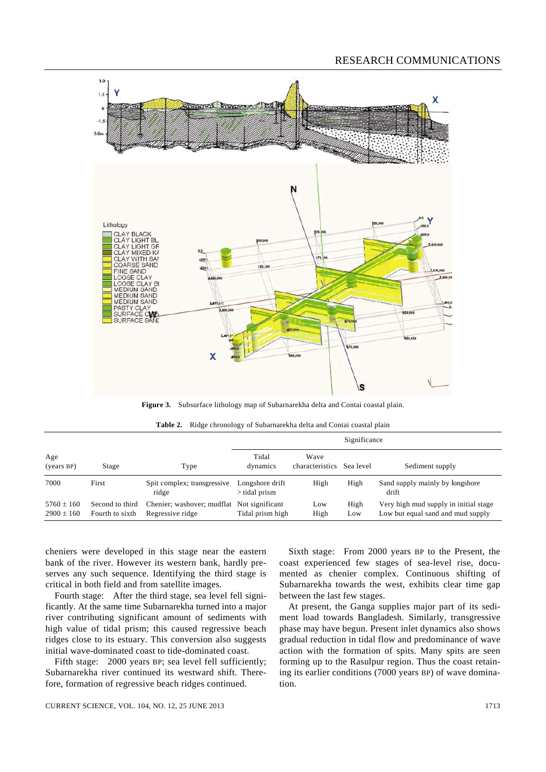## RESEARCH COMMUNICATIONS



**Figure 3.** Subsurface lithology map of Subarnarekha delta and Contai coastal plain.

|  |  |  |  | Table 2. Ridge chronology of Subarnarekha delta and Contai coastal plain |
|--|--|--|--|--------------------------------------------------------------------------|
|--|--|--|--|--------------------------------------------------------------------------|

|                                  |                                    |                                                                | Significance                       |                                   |             |                                                                            |
|----------------------------------|------------------------------------|----------------------------------------------------------------|------------------------------------|-----------------------------------|-------------|----------------------------------------------------------------------------|
| Age<br>(years BP)                | Stage                              | Type                                                           | Tidal<br>dynamics                  | Wave<br>characteristics Sea level |             | Sediment supply                                                            |
| 7000                             | First                              | Spit complex; transgressive<br>ridge                           | Longshore drift<br>$>$ tidal prism | High                              | High        | Sand supply mainly by longshore<br>drift                                   |
| $5760 \pm 160$<br>$2900 \pm 160$ | Second to third<br>Fourth to sixth | Chenier; washover; mudflat Not significant<br>Regressive ridge | Tidal prism high                   | Low<br>High                       | High<br>Low | Very high mud supply in initial stage<br>Low but equal sand and mud supply |

cheniers were developed in this stage near the eastern bank of the river. However its western bank, hardly preserves any such sequence. Identifying the third stage is critical in both field and from satellite images.

 Fourth stage: After the third stage, sea level fell significantly. At the same time Subarnarekha turned into a major river contributing significant amount of sediments with high value of tidal prism; this caused regressive beach ridges close to its estuary. This conversion also suggests initial wave-dominated coast to tide-dominated coast.

Fifth stage: 2000 years BP; sea level fell sufficiently; Subarnarekha river continued its westward shift. Therefore, formation of regressive beach ridges continued.

 Sixth stage: From 2000 years BP to the Present, the coast experienced few stages of sea-level rise, documented as chenier complex. Continuous shifting of Subarnarekha towards the west, exhibits clear time gap between the last few stages.

 At present, the Ganga supplies major part of its sediment load towards Bangladesh. Similarly, transgressive phase may have begun. Present inlet dynamics also shows gradual reduction in tidal flow and predominance of wave action with the formation of spits. Many spits are seen forming up to the Rasulpur region. Thus the coast retaining its earlier conditions (7000 years BP) of wave domination.